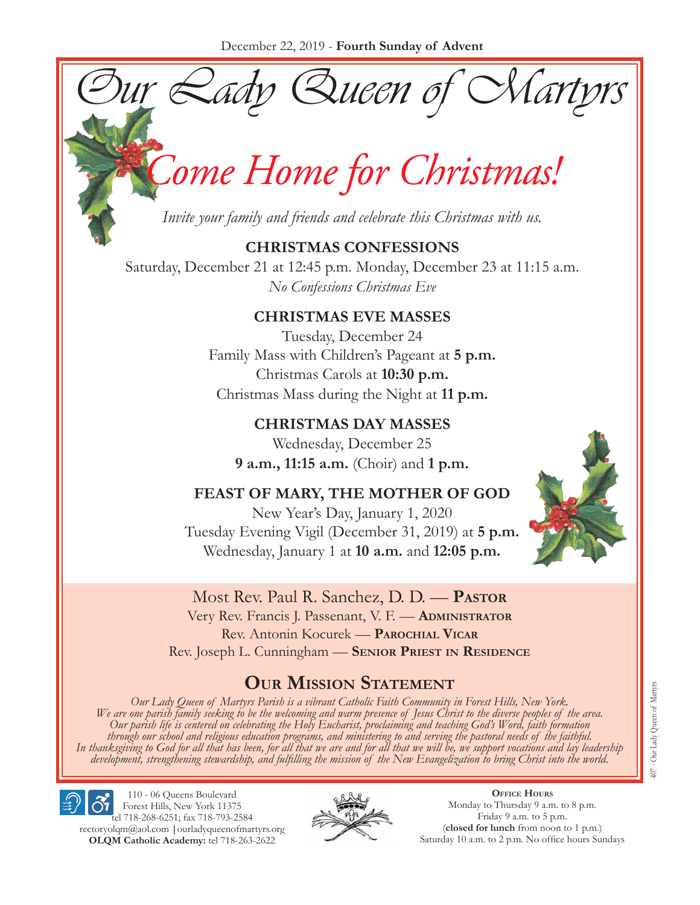Our Lady Queen of Martyrs

# *Come Home for Christmas!*

*Invite your family and friends and celebrate this Christmas with us.*

## **CHRISTMAS CONFESSIONS**

Saturday, December 21 at 12:45 p.m. Monday, December 23 at 11:15 a.m. *No Confessions Christmas Eve*

## **CHRISTMAS EVE MASSES**

Tuesday, December 24 Family Mass with Children's Pageant at **5 p.m.** Christmas Carols at **10:30 p.m.** Christmas Mass during the Night at **11 p.m.**

**CHRISTMAS DAY MASSES** Wednesday, December 25 **9 a.m., 11:15 a.m.** (Choir) and **1 p.m.** 

**FEAST OF MARY, THE MOTHER OF GOD** New Year's Day, January 1, 2020 Tuesday Evening Vigil (December 31, 2019) at **5 p.m.** Wednesday, January 1 at **10 a.m.** and **12:05 p.m.**



Most Rev. Paul R. Sanchez, D. D. — **Pastor** Very Rev. Francis J. Passenant, V. F. — **Administrator** Rev. Antonin Kocurek — **Parochial Vicar** Rev. Joseph L. Cunningham — **Senior Priest in Residence**

## **Our Mission Statement**

Our Lady Queen of Martyrs Parish is a vibrant Catholic Faith Community in Forest Hills, New York.<br>We are one parish family seeking to be the welcoming and warm presence of Jesus Christ to the diverse peoples of the area.<br>O through our school and religious education programs, and ministering to and serving the pastoral needs of the faithful.<br>In thanksgiving to God for all that has been, for all that we are and for all that we will be, we supp

110 - 06 Queens Boulevard Forest Hills, New York 11375 tel 718-268-6251; fax 718-793-2584 [rectoryolqm@aol.com](mailto:rectoryolqm@aol.com) **|**[ourladyqueenofmartyrs.org](www.ourladyqueenofmartyrs.org) **OLQM Catholic Academy:** tel 718-263-2622



**Office Hours** Monday to Thursday 9 a.m. to 8 p.m. Friday 9 a.m. to 5 p.m. (**closed for lunch** from noon to 1 p.m.) Saturday 10 a.m. to 2 p.m. No office hours Sundays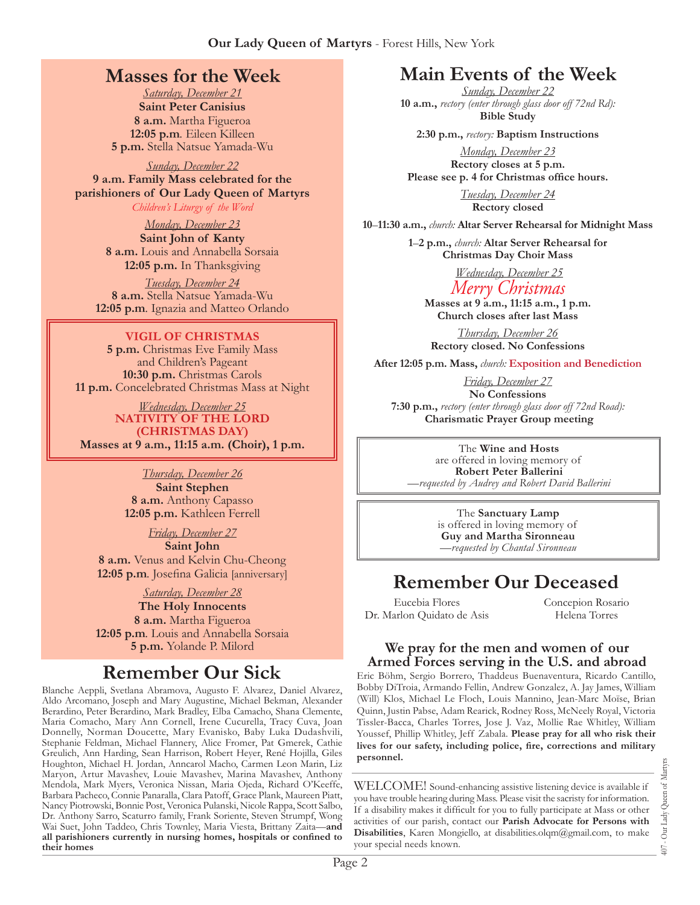## **Masses for the Week**

*Saturday, December 21* **Saint Peter Canisius 8 a.m.** Martha Figueroa **12:05 p.m***.* Eileen Killeen **5 p.m.** Stella Natsue Yamada-Wu

*Sunday, December 22* **9 a.m. Family Mass celebrated for the parishioners of Our Lady Queen of Martyrs** *Children's Liturgy of the Word* 

> *Monday, December 23* **Saint John of Kanty 8 a.m.** Louis and Annabella Sorsaia

**12:05 p.m.** In Thanksgiving *Tuesday, December 24*

**8 a.m.** Stella Natsue Yamada-Wu **12:05 p.m***.* Ignazia and Matteo Orlando

#### **VIGIL OF CHRISTMAS**

**5 p.m.** Christmas Eve Family Mass and Children's Pageant **10:30 p.m.** Christmas Carols **11 p.m.** Concelebrated Christmas Mass at Night

*Wednesday, December 25* **NATIVITY OF THE LORD (CHRISTMAS DAY) Masses at 9 a.m., 11:15 a.m. (Choir), 1 p.m.**

> *Thursday, December 26* **Saint Stephen 8 a.m.** Anthony Capasso **12:05 p.m.** Kathleen Ferrell

*Friday, December 27* **Saint John 8 a.m.** Venus and Kelvin Chu-Cheong **12:05 p.m***.* Josefina Galicia [anniversary]

*Saturday, December 28* **The Holy Innocents 8 a.m.** Martha Figueroa **12:05 p.m***.* Louis and Annabella Sorsaia **5 p.m.** Yolande P. Milord

## **Remember Our Sick**

Blanche Aeppli, Svetlana Abramova, Augusto F. Alvarez, Daniel Alvarez, Aldo Arcomano, Joseph and Mary Augustine, Michael Bekman, Alexander Berardino, Peter Berardino, Mark Bradley, Elba Camacho, Shana Clemente, Maria Comacho, Mary Ann Cornell, Irene Cucurella, Tracy Cuva, Joan Donnelly, Norman Doucette, Mary Evanisko, Baby Luka Dudashvili, Stephanie Feldman, Michael Flannery, Alice Fromer, Pat Gmerek, Cathie Greulich, Ann Harding, Sean Harrison, Robert Heyer, René Hojilla, Giles Houghton, Michael H. Jordan, Anncarol Macho, Carmen Leon Marin, Liz Maryon, Artur Mavashev, Louie Mavashev, Marina Mavashev, Anthony Mendola, Mark Myers, Veronica Nissan, Maria Ojeda, Richard O'Keeffe, Barbara Pacheco, Connie Panaralla, Clara Patoff, Grace Plank, Maureen Piatt, Nancy Piotrowski, Bonnie Post, Veronica Pulanski, Nicole Rappa, Scott Salbo, Dr. Anthony Sarro, Scaturro family, Frank Soriente, Steven Strumpf, Wong Wai Suet, John Taddeo, Chris Townley, Maria Viesta, Brittany Zaita—**and all parishioners currently in nursing homes, hospitals or confined to their homes**

## **Main Events of the Week**

*Sunday, December 22* **10 a.m.,** *rectory (enter through glass door off 72nd Rd):* **Bible Study** 

**2:30 p.m.,** *rectory:* **Baptism Instructions**

*Monday, December 23* **Rectory closes at 5 p.m. Please see p. 4 for Christmas office hours.**

> *Tuesday, December 24* **Rectory closed**

**10**–**11:30 a.m.,** *church:* **Altar Server Rehearsal for Midnight Mass**

**1**–**2 p.m.,** *church:* **Altar Server Rehearsal for Christmas Day Choir Mass**

*Wednesday, December 25*

*Merry Christmas* **Masses at 9 a.m., 11:15 a.m., 1 p.m. Church closes after last Mass**

*Thursday, December 26* **Rectory closed. No Confessions** 

**After 12:05 p.m. Mass,** *church:* **Exposition and Benediction**

*Friday, December 27* **No Confessions 7:30 p.m.,** *rectory (enter through glass door off 72nd Road):*  **Charismatic Prayer Group meeting**

> The **Wine and Hosts**  are offered in loving memory of **Robert Peter Ballerini** *—requested by Audrey and Robert David Ballerini*

The **Sanctuary Lamp**  is offered in loving memory of **Guy and Martha Sironneau** *—requested by Chantal Sironneau*

## **Remember Our Deceased**

Eucebia Flores Dr. Marlon Quidato de Asis Concepion Rosario Helena Torres

#### **We pray for the men and women of our Armed Forces serving in the U.S. and abroad**

Eric Böhm, Sergio Borrero, Thaddeus Buenaventura, Ricardo Cantillo, Bobby DiTroia, Armando Fellin, Andrew Gonzalez, A. Jay James, William (Will) Klos, Michael Le Floch, Louis Mannino, Jean-Marc Moïse, Brian Quinn, Justin Pabse, Adam Rearick, Rodney Ross, McNeely Royal, Victoria Tissler-Bacca, Charles Torres, Jose J. Vaz, Mollie Rae Whitley, William Youssef, Phillip Whitley, Jeff Zabala. **Please pray for all who risk their lives for our safety, including police, fire, corrections and military personnel.**

WELCOME! Sound-enhancing assistive listening device is available if you have trouble hearing during Mass. Please visit the sacristy for information. If a disability makes it difficult for you to fully participate at Mass or other activities of our parish, contact our **Parish Advocate for Persons with Disabilities**, Karen Mongiello, at [disabilities.olqm@gmail.com](mailto:disabilities.olqm@gmail.com), to make your special needs known.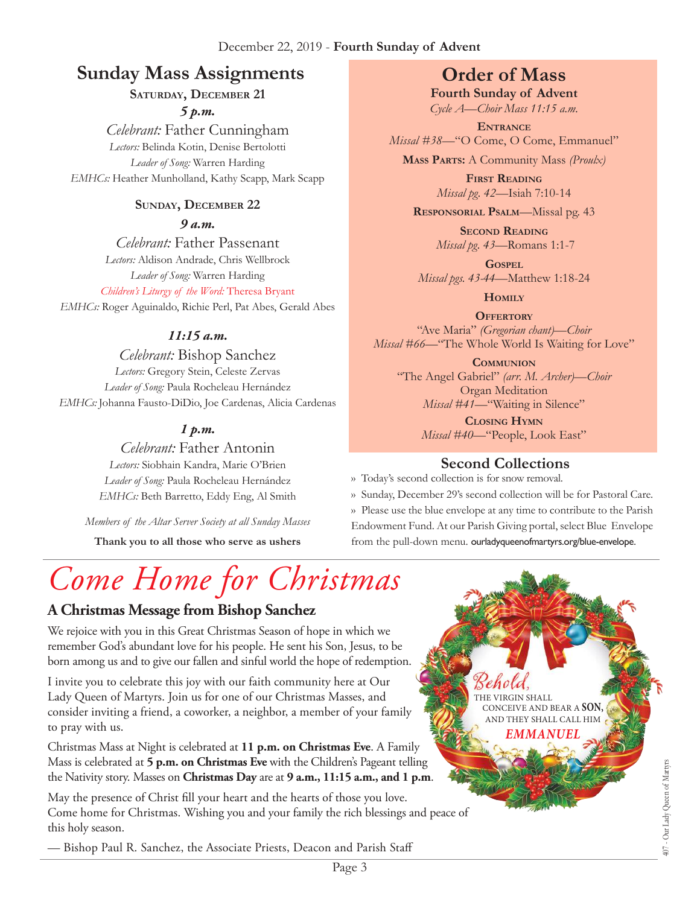#### December 22, 2019 - **Fourth Sunday of Advent**

## **Sunday Mass Assignments Order of Mass**

**Saturday, December 21**

*5 p.m.* 

*Celebrant:* Father Cunningham *Lectors:* Belinda Kotin, Denise Bertolotti *Leader of Song:* Warren Harding *EMHCs:* Heather Munholland, Kathy Scapp, Mark Scapp

#### **Sunday, December 22**

*9 a.m.* 

*Celebrant:* Father Passenant *Lectors:* Aldison Andrade, Chris Wellbrock *Leader of Song:* Warren Harding *Children's Liturgy of the Word:* Theresa Bryant

*EMHCs:* Roger Aguinaldo, Richie Perl, Pat Abes, Gerald Abes

#### *11:15 a.m.*

*Celebrant:* Bishop Sanchez *Lectors:* Gregory Stein, Celeste Zervas *Leader of Song:* Paula Rocheleau Hernández *EMHCs:* Johanna Fausto-DiDio, Joe Cardenas, Alicia Cardenas

#### *1 p.m.*

*Celebrant:* Father Antonin *Lectors:* Siobhain Kandra, Marie O'Brien *Leader of Song:* Paula Rocheleau Hernández *EMHCs:* Beth Barretto, Eddy Eng, Al Smith

*Members of the Altar Server Society at all Sunday Masses*

**Thank you to all those who serve as ushers**

# *Come Home for Christmas*

## **A Christmas Message from Bishop Sanchez**

We rejoice with you in this Great Christmas Season of hope in which we remember God's abundant love for his people. He sent his Son, Jesus, to be born among us and to give our fallen and sinful world the hope of redemption.

I invite you to celebrate this joy with our faith community here at Our Lady Queen of Martyrs. Join us for one of our Christmas Masses, and consider inviting a friend, a coworker, a neighbor, a member of your family to pray with us.

Christmas Mass at Night is celebrated at **11 p.m. on Christmas Eve**. A Family Mass is celebrated at **5 p.m. on Christmas Eve** with the Children's Pageant telling the Nativity story. Masses on **Christmas Day** are at **9 a.m., 11:15 a.m., and 1 p.m**.

May the presence of Christ fill your heart and the hearts of those you love. Come home for Christmas. Wishing you and your family the rich blessings and peace of this holy season.

— Bishop Paul R. Sanchez, the Associate Priests, Deacon and Parish Staff

**Fourth Sunday of Advent** *Cycle A—Choir Mass 11:15 a.m.*

**Entrance** *Missal* #38-"O Come, O Come, Emmanuel"

**Mass Parts:** A Community Mass *(Proulx)*

**First Reading** *Missal pg. 42—*Isiah 7:10-14

**Responsorial Psalm**—Missal pg. 43

**Second Reading** *Missal pg. 43—*Romans 1:1-7

**Gospel** *Missal pgs. 43-44—*Matthew 1:18-24

**Homily**

**Offertory** "Ave Maria" *(Gregorian chant)—Choir Missal #66—*"The Whole World Is Waiting for Love"

**Communion** "The Angel Gabriel" *(arr. M. Archer)—Choir* Organ Meditation *Missal #41—*"Waiting in Silence"

> **Closing Hymn** *Missal #40*—"People, Look East"

## **Second Collections**

›› Today's second collection is for snow removal.

›› Sunday, December 29's second collection will be for Pastoral Care. ›› Please use the blue envelope at any time to contribute to the Parish Endowment Fund. At our Parish Giving portal, select Blue Envelope from the pull-down menu. ourladyqueenofmartyrs.org/blue-envelope.

> VIRGIN SHALL CONCEIVE AND BEAR A **SON,** AND THEY SHALL CALL HIM *EMMANUEL*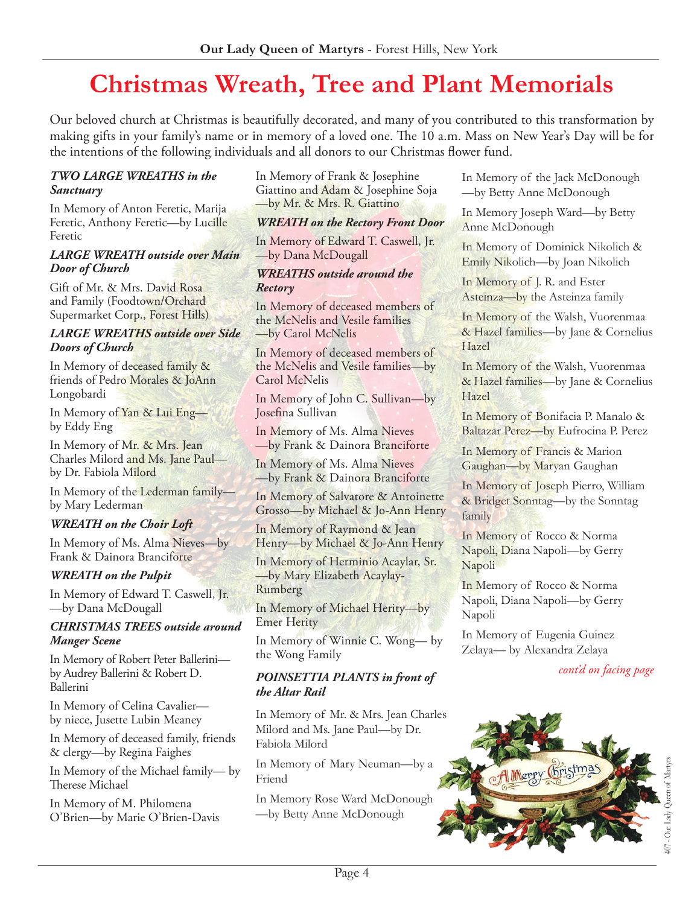## **Christmas Wreath, Tree and Plant Memorials**

Our beloved church at Christmas is beautifully decorated, and many of you contributed to this transformation by making gifts in your family's name or in memory of a loved one. The 10 a.m. Mass on New Year's Day will be for the intentions of the following individuals and all donors to our Christmas flower fund.

#### *TWO LARGE WREATHS in the Sanctuary*

In Memory of Anton Feretic, Marija Feretic, Anthony Feretic—by Lucille Feretic

#### *LARGE WREATH outside over Main Door of Church*

Gift of Mr. & Mrs. David Rosa and Family (Foodtown/Orchard Supermarket Corp., Forest Hills)

#### *LARGE WREATHS outside over Side Doors of Church*

In Memory of deceased family & friends of Pedro Morales & JoAnn Longobardi

In Memory of Yan & Lui Eng by Eddy Eng

In Memory of Mr. & Mrs. Jean Charles Milord and Ms. Jane Paul by Dr. Fabiola Milord

In Memory of the Lederman family by Mary Lederman

#### *WREATH on the Choir Loft*

In Memory of Ms. Alma Nieves—by Frank & Dainora Branciforte

#### *WREATH on the Pulpit*

In Memory of Edward T. Caswell, Jr. —by Dana McDougall

#### *CHRISTMAS TREES outside around Manger Scene*

In Memory of Robert Peter Ballerini by Audrey Ballerini & Robert D. Ballerini

In Memory of Celina Cavalier by niece, Jusette Lubin Meaney

In Memory of deceased family, friends & clergy—by Regina Faighes

In Memory of the Michael family— by Therese Michael

In Memory of M. Philomena O'Brien—by Marie O'Brien-Davis In Memory of Frank & Josephine Giattino and Adam & Josephine Soja —by Mr. & Mrs. R. Giattino

#### *WREATH on the Rectory Front Door*

In Memory of Edward T. Caswell, Jr. —by Dana McDougall

#### *WREATHS outside around the Rectory*

In Memory of deceased members of the McNelis and Vesile families —by Carol McNelis

In Memory of deceased members of the McNelis and Vesile families—by Carol McNelis

In Memory of John C. Sullivan—by Josefina Sullivan

In Memory of Ms. Alma Nieves —by Frank & Dainora Branciforte

In Memory of Ms. Alma Nieves —by Frank & Dainora Branciforte

In Memory of Salvatore & Antoinette Grosso—by Michael & Jo-Ann Henry

In Memory of Raymond & Jean Henry—by Michael & Jo-Ann Henry

In Memory of Herminio Acaylar, Sr. —by Mary Elizabeth Acaylay-Rumberg

In Memory of Michael Herity—by Emer Herity

In Memory of Winnie C. Wong— by the Wong Family

#### *POINSETTIA PLANTS in front of the Altar Rail*

In Memory of Mr. & Mrs. Jean Charles Milord and Ms. Jane Paul—by Dr. Fabiola Milord

In Memory of Mary Neuman—by a Friend

In Memory Rose Ward McDonough —by Betty Anne McDonough

In Memory of the Jack McDonough —by Betty Anne McDonough

In Memory Joseph Ward—by Betty Anne McDonough

In Memory of Dominick Nikolich & Emily Nikolich—by Joan Nikolich

In Memory of J. R. and Ester Asteinza—by the Asteinza family

In Memory of the Walsh, Vuorenmaa & Hazel families—by Jane & Cornelius Hazel

In Memory of the Walsh, Vuorenmaa & Hazel families—by Jane & Cornelius Hazel

In Memory of Bonifacia P. Manalo & Baltazar Perez—by Eufrocina P. Perez

In Memory of Francis & Marion Gaughan—by Maryan Gaughan

In Memory of Joseph Pierro, William & Bridget Sonntag—by the Sonntag family

In Memory of Rocco & Norma Napoli, Diana Napoli—by Gerry Napoli

In Memory of Rocco & Norma Napoli, Diana Napoli—by Gerry Napoli

In Memory of Eugenia Guinez Zelaya— by Alexandra Zelaya

#### *cont'd on facing page*

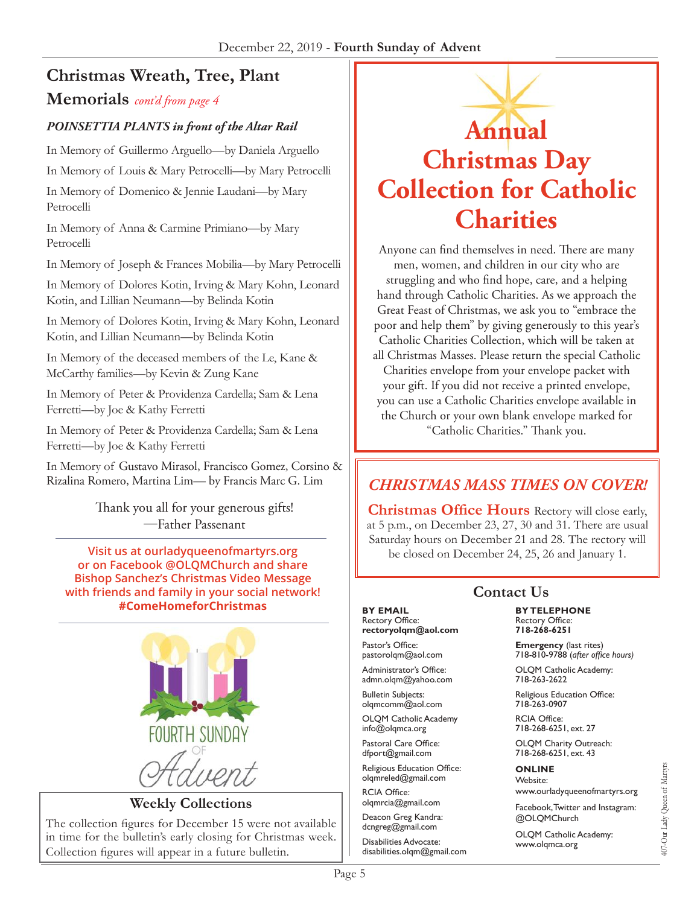## **Christmas Wreath, Tree, Plant**

#### **Memorials** *cont'd from page 4*

#### *POINSETTIA PLANTS in front of the Altar Rail*

In Memory of Guillermo Arguello—by Daniela Arguello

In Memory of Louis & Mary Petrocelli—by Mary Petrocelli

In Memory of Domenico & Jennie Laudani—by Mary Petrocelli

In Memory of Anna & Carmine Primiano—by Mary Petrocelli

In Memory of Joseph & Frances Mobilia—by Mary Petrocelli

In Memory of Dolores Kotin, Irving & Mary Kohn, Leonard Kotin, and Lillian Neumann—by Belinda Kotin

In Memory of Dolores Kotin, Irving & Mary Kohn, Leonard Kotin, and Lillian Neumann—by Belinda Kotin

In Memory of the deceased members of the Le, Kane & McCarthy families—by Kevin & Zung Kane

In Memory of Peter & Providenza Cardella; Sam & Lena Ferretti—by Joe & Kathy Ferretti

In Memory of Peter & Providenza Cardella; Sam & Lena Ferretti—by Joe & Kathy Ferretti

In Memory of Gustavo Mirasol, Francisco Gomez, Corsino & Rizalina Romero, Martina Lim— by Francis Marc G. Lim

> Thank you all for your generous gifts! —Father Passenant

**Visit us at [ourladyqueenofmartyrs.org](https://ourladyqueenofmartyrs.org/)  or on Facebook @OLQMChurch and share Bishop Sanchez's Christmas Video Message with friends and family in your social network! #ComeHomeforChristmas**



**Weekly Collections**

The collection figures for December 15 were not available in time for the bulletin's early closing for Christmas week. Collection figures will appear in a future bulletin.

## **Annual Christmas Day Collection for Catholic Charities**

Anyone can find themselves in need. There are many men, women, and children in our city who are struggling and who find hope, care, and a helping hand through Catholic Charities. As we approach the Great Feast of Christmas, we ask you to "embrace the poor and help them" by giving generously to this year's Catholic Charities Collection, which will be taken at all Christmas Masses. Please return the special Catholic Charities envelope from your envelope packet with your gift. If you did not receive a printed envelope, you can use a Catholic Charities envelope available in the Church or your own blank envelope marked for "Catholic Charities." Thank you.

## *CHRISTMAS MASS TIMES ON COVER!*

**Christmas Office Hours** Rectory will close early, at 5 p.m., on December 23, 27, 30 and 31. There are usual Saturday hours on December 21 and 28. The rectory will be closed on December 24, 25, 26 and January 1.

## **Contact Us**

**BY EMAIL** Rectory Office: **rectoryolqm@aol.com**

Pastor's Office: pastorolqm@aol.com

Administrator's Office: admn.olqm@yahoo.com

Bulletin Subjects: olqmcomm@aol.com

OLQM Catholic Academy info@olqmca.org

Pastoral Care Office: dfport@gmail.com

Religious Education Office: olqmreled@gmail.com

RCIA Office: [olqmrcia@gmail.com](mailto:olqmrcia@gmail.com)

Deacon Greg Kandra: dcngreg@gmail.com

Disabilities Advocate: [disabilities.olqm@gmail.com](mailto:disabilities.olqm@gmail.com)

#### **BY TELEPHONE** Rectory Office: **718-268-6251**

**Emergency** (last rites) 718-810-9788 (*after office hours)*

OLQM Catholic Academy: 718-263-2622

Religious Education Office: 718-263-0907

RCIA Office: 718-268-6251, ext. 27

OLQM Charity Outreach: 718-268-6251, ext. 43

#### **ONLINE**

Website: www.ourladyqueenofmartyrs.org

Facebook, Twitter and Instagram: @OLQMChurch

OLQM Catholic Academy: <www.olqmca.org>